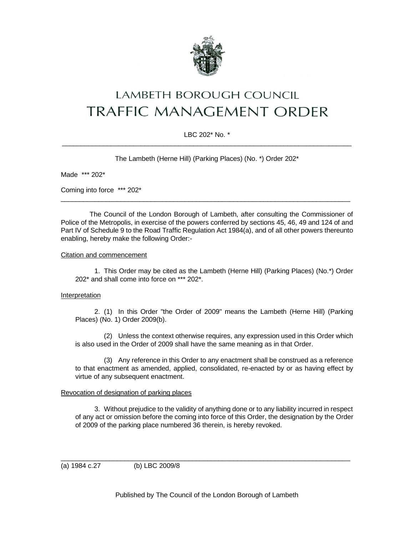

# LAMBETH BOROUGH COUNCIL **TRAFFIC MANAGEMENT ORDER**

## LBC 202\* No. \*  $\_$  ,  $\_$  ,  $\_$  ,  $\_$  ,  $\_$  ,  $\_$  ,  $\_$  ,  $\_$  ,  $\_$  ,  $\_$  ,  $\_$  ,  $\_$  ,  $\_$  ,  $\_$  ,  $\_$  ,  $\_$  ,  $\_$  ,  $\_$  ,  $\_$  ,  $\_$

The Lambeth (Herne Hill) (Parking Places) (No. \*) Order 202\*

Made \*\*\* 202\*

Coming into force \*\*\* 202\*

The Council of the London Borough of Lambeth, after consulting the Commissioner of Police of the Metropolis, in exercise of the powers conferred by sections 45, 46, 49 and 124 of and Part IV of Schedule 9 to the Road Traffic Regulation Act 1984(a), and of all other powers thereunto enabling, hereby make the following Order:-

\_\_\_\_\_\_\_\_\_\_\_\_\_\_\_\_\_\_\_\_\_\_\_\_\_\_\_\_\_\_\_\_\_\_\_\_\_\_\_\_\_\_\_\_\_\_\_\_\_\_\_\_\_\_\_\_\_\_\_\_\_\_\_\_\_\_\_\_\_\_\_\_\_\_\_\_\_

#### Citation and commencement

1. This Order may be cited as the Lambeth (Herne Hill) (Parking Places) (No.\*) Order 202\* and shall come into force on \*\*\* 202\*.

## Interpretation

2. (1) In this Order "the Order of 2009" means the Lambeth (Herne Hill) (Parking Places) (No. 1) Order 2009(b).

(2) Unless the context otherwise requires, any expression used in this Order which is also used in the Order of 2009 shall have the same meaning as in that Order.

(3) Any reference in this Order to any enactment shall be construed as a reference to that enactment as amended, applied, consolidated, re-enacted by or as having effect by virtue of any subsequent enactment.

## Revocation of designation of parking places

3. Without prejudice to the validity of anything done or to any liability incurred in respect of any act or omission before the coming into force of this Order, the designation by the Order of 2009 of the parking place numbered 36 therein, is hereby revoked.

(a) 1984 c.27 (b) LBC 2009/8

\_\_\_\_\_\_\_\_\_\_\_\_\_\_\_\_\_\_\_\_\_\_\_\_\_\_\_\_\_\_\_\_\_\_\_\_\_\_\_\_\_\_\_\_\_\_\_\_\_\_\_\_\_\_\_\_\_\_\_\_\_\_\_\_\_\_\_\_\_\_\_\_\_\_\_\_\_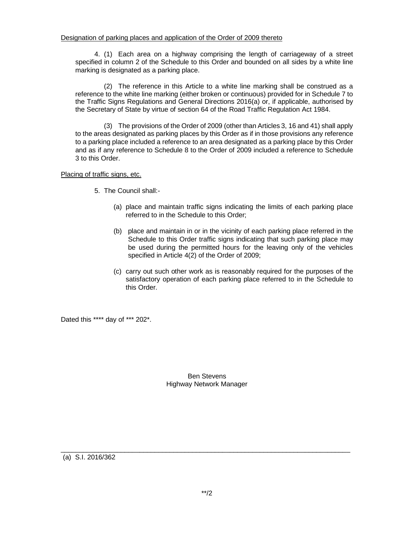4. (1) Each area on a highway comprising the length of carriageway of a street specified in column 2 of the Schedule to this Order and bounded on all sides by a white line marking is designated as a parking place.

(2) The reference in this Article to a white line marking shall be construed as a reference to the white line marking (either broken or continuous) provided for in Schedule 7 to the Traffic Signs Regulations and General Directions 2016(a) or, if applicable, authorised by the Secretary of State by virtue of section 64 of the Road Traffic Regulation Act 1984.

(3) The provisions of the Order of 2009 (other than Articles 3, 16 and 41) shall apply to the areas designated as parking places by this Order as if in those provisions any reference to a parking place included a reference to an area designated as a parking place by this Order and as if any reference to Schedule 8 to the Order of 2009 included a reference to Schedule 3 to this Order.

Placing of traffic signs, etc.

- 5. The Council shall:-
	- (a) place and maintain traffic signs indicating the limits of each parking place referred to in the Schedule to this Order;
	- (b) place and maintain in or in the vicinity of each parking place referred in the Schedule to this Order traffic signs indicating that such parking place may be used during the permitted hours for the leaving only of the vehicles specified in Article 4(2) of the Order of 2009;
	- (c) carry out such other work as is reasonably required for the purposes of the satisfactory operation of each parking place referred to in the Schedule to this Order.

Dated this \*\*\*\* day of \*\*\* 202\*.

#### Ben Stevens Highway Network Manager

(a) S.I. 2016/362

\_\_\_\_\_\_\_\_\_\_\_\_\_\_\_\_\_\_\_\_\_\_\_\_\_\_\_\_\_\_\_\_\_\_\_\_\_\_\_\_\_\_\_\_\_\_\_\_\_\_\_\_\_\_\_\_\_\_\_\_\_\_\_\_\_\_\_\_\_\_\_\_\_\_\_\_\_